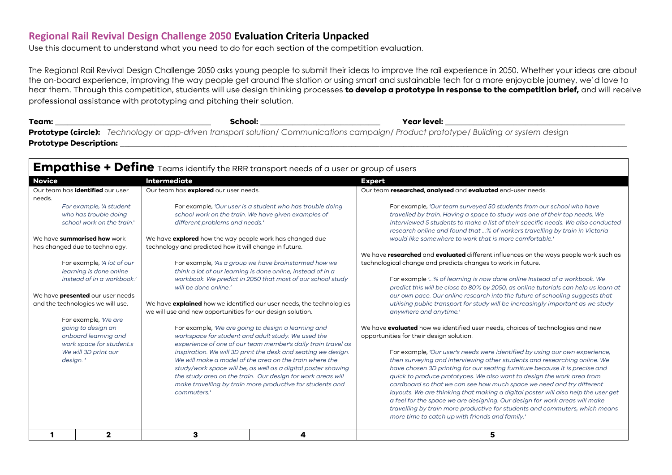## **Regional Rail Revival Design Challenge 2050 Evaluation Criteria Unpacked**

Use this document to understand what you need to do for each section of the competition evaluation.

The Regional Rail Revival Design Challenge 2050 asks young people to submit their ideas to improve the rail experience in 2050. Whether your ideas are about the on-board experience, improving the way people get around the station or using smart and sustainable tech for a more enjoyable journey, we'd love to hear them. Through this competition, students will use design thinking processes **to develop a prototype in response to the competition brief,** and will receive professional assistance with prototyping and pitching their solution.

**Team: \_\_\_\_\_\_\_\_\_\_\_\_\_\_\_\_\_\_\_\_\_\_\_\_\_\_\_\_\_\_\_\_\_\_\_\_\_\_\_ School: \_\_\_\_\_\_\_\_\_\_\_\_\_\_\_\_\_\_\_\_\_\_\_\_\_\_\_\_\_\_ Year level: \_\_\_\_\_\_\_\_\_\_\_\_\_\_\_\_\_\_\_\_\_\_\_\_\_\_\_\_\_\_\_\_\_\_\_\_\_\_\_\_\_\_\_\_\_ Prototype (circle):** *Technology or app-driven transport solution/ Communications campaign/ Product prototype/ Building or system design* **Prototype Description: \_\_\_\_\_\_\_\_\_\_\_\_\_\_\_\_\_\_\_\_\_\_\_\_\_\_\_\_\_\_\_\_\_\_\_\_\_\_\_\_\_\_\_\_\_\_\_\_\_\_\_\_\_\_\_\_\_\_\_\_\_\_\_\_\_\_\_\_\_\_\_\_\_\_\_\_\_\_\_\_\_\_\_\_\_\_\_\_\_\_\_\_\_\_\_\_\_\_\_\_\_\_\_\_\_\_\_\_\_\_\_\_\_\_\_\_\_\_\_\_\_\_\_\_\_\_\_**

## **Empathise + Define** Teams identify the RRR transport needs of a user or group of users

| <b>Novice</b>                           | <b>Intermediate</b>                                                         |                                                               | <b>Expert</b>                                                                          |
|-----------------------------------------|-----------------------------------------------------------------------------|---------------------------------------------------------------|----------------------------------------------------------------------------------------|
| Our team has <b>identified</b> our user | Our team has explored our user needs.                                       |                                                               | Our team researched, analysed and evaluated end-user needs.                            |
| needs.                                  |                                                                             |                                                               |                                                                                        |
| For example, 'A student                 | For example, 'Our user Is a student who has trouble doing                   |                                                               | For example, 'Our team surveyed 50 students from our school who have                   |
| who has trouble doing                   |                                                                             | school work on the train. We have given examples of           | travelled by train. Having a space to study was one of their top needs. We             |
| school work on the train.'              | different problems and needs.'                                              |                                                               | interviewed 5 students to make a list of their specific needs. We also conducted       |
|                                         |                                                                             |                                                               | research online and found that % of workers travelling by train in Victoria            |
| We have <b>summarised how</b> work      | We have explored how the way people work has changed due                    |                                                               | would like somewhere to work that is more comfortable.                                 |
| has changed due to technology.          | technology and predicted how it will change in future.                      |                                                               |                                                                                        |
|                                         |                                                                             |                                                               | We have researched and evaluated different influences on the ways people work such as  |
| For example, 'A lot of our              |                                                                             | For example, 'As a group we have brainstormed how we          | technological change and predicts changes to work in future.                           |
| learning is done online                 |                                                                             | think a lot of our learning is done online, instead of in a   |                                                                                        |
| instead of in a workbook.'              |                                                                             | workbook. We predict in 2050 that most of our school study    | For example '% of learning is now done online Instead of a workbook. We                |
|                                         | will be done online.'                                                       |                                                               | predict this will be close to 80% by 2050, as online tutorials can help us learn at    |
| We have <b>presented</b> our user needs |                                                                             |                                                               | our own pace. Our online research into the future of schooling suggests that           |
| and the technologies we will use.       | We have <b>explained</b> how we identified our user needs, the technologies |                                                               | utilising public transport for study will be increasingly important as we study        |
|                                         | we will use and new opportunities for our design solution.                  |                                                               | anywhere and anytime.'                                                                 |
| For example, 'We are                    |                                                                             |                                                               |                                                                                        |
| going to design an                      | For example, 'We are going to design a learning and                         |                                                               | We have <b>evaluated</b> how we identified user needs, choices of technologies and new |
| onboard learning and                    | workspace for student and adult study. We used the                          |                                                               | opportunities for their design solution.                                               |
| work space for student.s                |                                                                             | experience of one of our team member's daily train travel as  |                                                                                        |
| We will 3D print our                    |                                                                             | inspiration. We will 3D print the desk and seating we design. | For example, 'Our user's needs were identified by using our own experience,            |
| design.'                                |                                                                             | We will make a model of the area on the train where the       | then surveying and interviewing other students and researching online. We              |
|                                         |                                                                             | study/work space will be, as well as a digital poster showing | have chosen 3D printing for our seating furniture because it is precise and            |
|                                         |                                                                             | the study area on the train. Our design for work areas will   | quick to produce prototypes. We also want to design the work area from                 |
|                                         |                                                                             | make travelling by train more productive for students and     | cardboard so that we can see how much space we need and try different                  |
|                                         | commuters.'                                                                 |                                                               | layouts. We are thinking that making a digital poster will also help the user get      |
|                                         |                                                                             |                                                               | a feel for the space we are designing. Our design for work areas will make             |
|                                         |                                                                             |                                                               | travelling by train more productive for students and commuters, which means            |
|                                         |                                                                             |                                                               | more time to catch up with friends and family.'                                        |
| 2                                       | з                                                                           |                                                               |                                                                                        |
|                                         |                                                                             | 4                                                             | 5                                                                                      |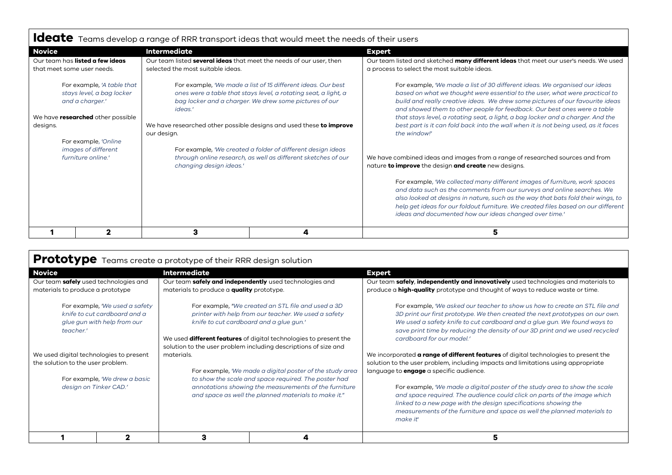|                                                                                                                                    |                                                                                                                                                                                                                                                                                            | Ideate Teams develop a range of RRR transport ideas that would meet the needs of their users                                 |                                                                                                                                                                                                                                                                                                                                                                                                                                                                                                                 |  |
|------------------------------------------------------------------------------------------------------------------------------------|--------------------------------------------------------------------------------------------------------------------------------------------------------------------------------------------------------------------------------------------------------------------------------------------|------------------------------------------------------------------------------------------------------------------------------|-----------------------------------------------------------------------------------------------------------------------------------------------------------------------------------------------------------------------------------------------------------------------------------------------------------------------------------------------------------------------------------------------------------------------------------------------------------------------------------------------------------------|--|
| <b>Novice</b>                                                                                                                      | <b>Intermediate</b>                                                                                                                                                                                                                                                                        |                                                                                                                              | <b>Expert</b>                                                                                                                                                                                                                                                                                                                                                                                                                                                                                                   |  |
| Our team has listed a few ideas<br>that meet some user needs.                                                                      | Our team listed several ideas that meet the needs of our user, then<br>selected the most suitable ideas.                                                                                                                                                                                   |                                                                                                                              | Our team listed and sketched many different ideas that meet our user's needs. We used<br>a process to select the most suitable ideas.                                                                                                                                                                                                                                                                                                                                                                           |  |
| For example, 'A table that<br>stays level, a bag locker<br>and a charger.'<br>We have <b>researched</b> other possible<br>designs. | For example, 'We made a list of 15 different ideas. Our best<br>ones were a table that stays level, a rotating seat, a light, a<br>bag locker and a charger. We drew some pictures of our<br>ideas.'<br>We have researched other possible designs and used these to improve<br>our design. |                                                                                                                              | For example, 'We made a list of 30 different ideas. We organised our ideas<br>based on what we thought were essential to the user, what were practical to<br>build and really creative ideas. We drew some pictures of our favourite ideas<br>and showed them to other people for feedback. Our best ones were a table<br>that stays level, a rotating seat, a light, a bag locker and a charger. And the<br>best part is it can fold back into the wall when it is not being used, as it faces<br>the window!' |  |
| For example, 'Online<br>images of different<br>furniture online.'                                                                  | changing design ideas.'                                                                                                                                                                                                                                                                    | For example, 'We created a folder of different design ideas<br>through online research, as well as different sketches of our | We have combined ideas and images from a range of researched sources and from<br>nature to improve the design and create new designs.                                                                                                                                                                                                                                                                                                                                                                           |  |
|                                                                                                                                    |                                                                                                                                                                                                                                                                                            |                                                                                                                              | For example, 'We collected many different images of furniture, work spaces<br>and data such as the comments from our surveys and online searches. We<br>also looked at designs in nature, such as the way that bats fold their wings, to<br>help get ideas for our foldout furniture. We created files based on our different<br>ideas and documented how our ideas changed over time.'                                                                                                                         |  |
| າ                                                                                                                                  | 3                                                                                                                                                                                                                                                                                          | 4                                                                                                                            | 5                                                                                                                                                                                                                                                                                                                                                                                                                                                                                                               |  |

|                                                                                                            |   | Prototype Teams create a prototype of their RRR design solution                                                                                                                                                                                                                                      |                                                         |                                                                                                                                                                                                                                                                                                                                                       |
|------------------------------------------------------------------------------------------------------------|---|------------------------------------------------------------------------------------------------------------------------------------------------------------------------------------------------------------------------------------------------------------------------------------------------------|---------------------------------------------------------|-------------------------------------------------------------------------------------------------------------------------------------------------------------------------------------------------------------------------------------------------------------------------------------------------------------------------------------------------------|
| <b>Novice</b>                                                                                              |   | <b>Intermediate</b>                                                                                                                                                                                                                                                                                  |                                                         | <b>Expert</b>                                                                                                                                                                                                                                                                                                                                         |
| Our team safely used technologies and<br>materials to produce a prototype                                  |   | materials to produce a quality prototype.                                                                                                                                                                                                                                                            | Our team safely and independently used technologies and | Our team safely, independently and innovatively used technologies and materials to<br>produce a <b>high-quality</b> prototype and thought of ways to reduce waste or time.                                                                                                                                                                            |
| For example, 'We used a safety<br>knife to cut cardboard and a<br>glue gun with help from our<br>teacher.' |   | For example, "We created an STL file and used a 3D<br>printer with help from our teacher. We used a safety<br>knife to cut cardboard and a glue gun.'<br>We used <b>different features</b> of digital technologies to present the<br>solution to the user problem including descriptions of size and |                                                         | For example, 'We asked our teacher to show us how to create an STL file and<br>3D print our first prototype. We then created the next prototypes on our own.<br>We used a safety knife to cut cardboard and a glue gun. We found ways to<br>save print time by reducing the density of our 3D print and we used recycled<br>cardboard for our model.' |
| We used digital technologies to present<br>the solution to the user problem.                               |   | materials.<br>For example, 'We made a digital poster of the study area                                                                                                                                                                                                                               |                                                         | We incorporated <b>a range of different features</b> of digital technologies to present the<br>solution to the user problem, including impacts and limitations using appropriate<br>language to <b>engage</b> a specific audience.                                                                                                                    |
| For example, 'We drew a basic<br>design on Tinker CAD.'                                                    |   | to show the scale and space required. The poster had<br>annotations showing the measurements of the furniture<br>and space as well the planned materials to make it."                                                                                                                                |                                                         | For example, 'We made a digital poster of the study area to show the scale<br>and space required. The audience could click on parts of the image which<br>linked to a new page with the design specifications showing the<br>measurements of the furniture and space as well the planned materials to<br>make it'                                     |
|                                                                                                            | 2 | з                                                                                                                                                                                                                                                                                                    | 4                                                       | 5                                                                                                                                                                                                                                                                                                                                                     |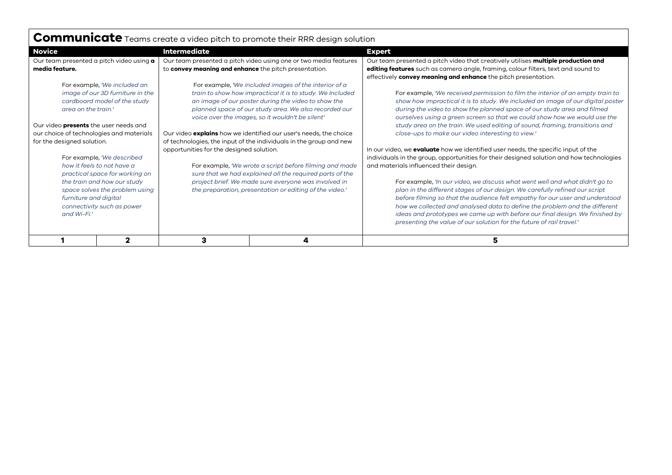| <b>COMMUNICATE</b> Teams create a video pitch to promote their RRR design solution                                                                                                                                                         |                                                                                                                                                                                                                                                                                                                                                                                                                                   |                                                                  |                                                                                                                                                                                                                                                                                                                                                                                                                                                                                  |
|--------------------------------------------------------------------------------------------------------------------------------------------------------------------------------------------------------------------------------------------|-----------------------------------------------------------------------------------------------------------------------------------------------------------------------------------------------------------------------------------------------------------------------------------------------------------------------------------------------------------------------------------------------------------------------------------|------------------------------------------------------------------|----------------------------------------------------------------------------------------------------------------------------------------------------------------------------------------------------------------------------------------------------------------------------------------------------------------------------------------------------------------------------------------------------------------------------------------------------------------------------------|
| <b>Novice</b>                                                                                                                                                                                                                              | <b>Intermediate</b>                                                                                                                                                                                                                                                                                                                                                                                                               |                                                                  | <b>Expert</b>                                                                                                                                                                                                                                                                                                                                                                                                                                                                    |
| Our team presented a pitch video using a<br>media feature.                                                                                                                                                                                 | to convey meaning and enhance the pitch presentation.                                                                                                                                                                                                                                                                                                                                                                             | Our team presented a pitch video using one or two media features | Our team presented a pitch video that creatively utilises multiple production and<br>editing features such as camera angle, framing, colour filters, text and sound to<br>effectively convey meaning and enhance the pitch presentation.                                                                                                                                                                                                                                         |
| For example, 'We included an<br>image of our 3D furniture in the<br>cardboard model of the study<br>area on the train.'<br>Our video presents the user needs and<br>our choice of technologies and materials<br>for the designed solution. | For example, 'We included images of the interior of a<br>train to show how impractical it is to study. We Included<br>an image of our poster during the video to show the<br>planned space of our study area. We also recorded our<br>voice over the images, so it wouldn't be silent'<br>Our video explains how we identified our user's needs, the choice<br>of technologies, the input of the individuals in the group and new |                                                                  | For example, 'We received permission to film the interior of an empty train to<br>show how impractical it is to study. We included an image of our digital poster<br>during the video to show the planned space of our study area and filmed<br>ourselves using a green screen so that we could show how we would use the<br>study area on the train. We used editing of sound, framing, transitions and<br>close-ups to make our video interesting to view.'                    |
| For example, 'We described<br>how it feels to not have a                                                                                                                                                                                   | opportunities for the designed solution.<br>For example, 'We wrote a script before filming and made                                                                                                                                                                                                                                                                                                                               |                                                                  | In our video, we <b>evaluate</b> how we identified user needs, the specific input of the<br>individuals in the group, opportunities for their designed solution and how technologies<br>and materials influenced their design.                                                                                                                                                                                                                                                   |
| practical space for working on<br>the train and how our study<br>space solves the problem using<br>furniture and digital<br>connectivity such as power<br>and Wi-Fi.'                                                                      | sure that we had explained all the required parts of the<br>project brief. We made sure everyone was involved in<br>the preparation, presentation or editing of the video.'                                                                                                                                                                                                                                                       |                                                                  | For example, 'In our video, we discuss what went well and what didn't go to<br>plan in the different stages of our design. We carefully refined our script<br>before filming so that the audience felt empathy for our user and understood<br>how we collected and analysed data to define the problem and the different<br>ideas and prototypes we came up with before our final design. We finished by<br>presenting the value of our solution for the future of rail travel.' |
|                                                                                                                                                                                                                                            | 3                                                                                                                                                                                                                                                                                                                                                                                                                                 | 4                                                                | 5                                                                                                                                                                                                                                                                                                                                                                                                                                                                                |

## **Communicate** Teams create a video pitch to promote their RRR design solution